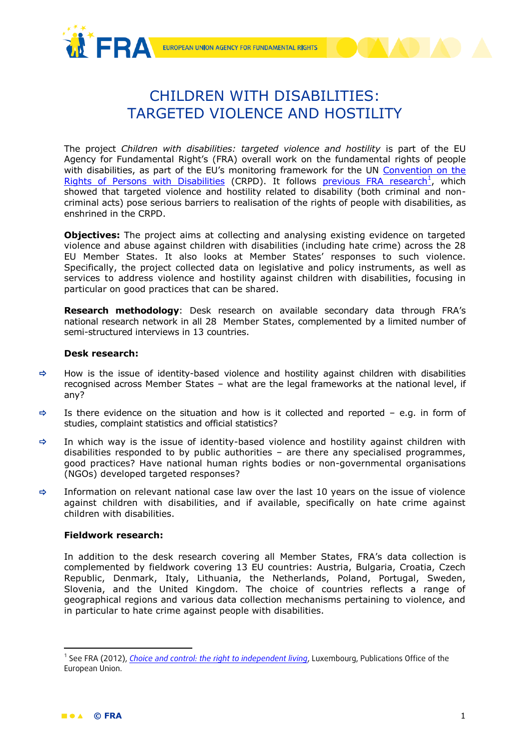



## CHILDREN WITH DISABILITIES: TARGETED VIOLENCE AND HOSTILITY

The project *Children with disabilities: targeted violence and hostility* is part of the EU Agency for Fundamental Right's (FRA) overall work on the fundamental rights of people with disabilities, as part of the EU's monitoring framework for the UN Convention on the [Rights of Persons with Disabilities](http://www.un.org/disabilities/convention/conventionfull.shtml) (CRPD). It follows [previous FRA research](http://fra.europa.eu/en/theme/people-disabilities)<sup>1</sup>, which showed that targeted violence and hostility related to disability (both criminal and noncriminal acts) pose serious barriers to realisation of the rights of people with disabilities, as enshrined in the CRPD.

**Objectives:** The project aims at collecting and analysing existing evidence on targeted violence and abuse against children with disabilities (including hate crime) across the 28 EU Member States. It also looks at Member States' responses to such violence. Specifically, the project collected data on legislative and policy instruments, as well as services to address violence and hostility against children with disabilities, focusing in particular on good practices that can be shared.

**Research methodology**: Desk research on available secondary data through FRA's national research network in all 28 Member States, complemented by a limited number of semi-structured interviews in 13 countries.

## **Desk research:**

- $\Rightarrow$  How is the issue of identity-based violence and hostility against children with disabilities recognised across Member States – what are the legal frameworks at the national level, if any?
- $\Rightarrow$  Is there evidence on the situation and how is it collected and reported e.g. in form of studies, complaint statistics and official statistics?
- $\Rightarrow$  In which way is the issue of identity-based violence and hostility against children with disabilities responded to by public authorities – are there any specialised programmes, good practices? Have national human rights bodies or non-governmental organisations (NGOs) developed targeted responses?
- $\Rightarrow$  Information on relevant national case law over the last 10 years on the issue of violence against children with disabilities, and if available, specifically on hate crime against children with disabilities.

## **Fieldwork research:**

In addition to the desk research covering all Member States, FRA's data collection is complemented by fieldwork covering 13 EU countries: Austria, Bulgaria, Croatia, Czech Republic, Denmark, Italy, Lithuania, the Netherlands, Poland, Portugal, Sweden, Slovenia, and the United Kingdom. The choice of countries reflects a range of geographical regions and various data collection mechanisms pertaining to violence, and in particular to hate crime against people with disabilities.

**.** 

<sup>&</sup>lt;sup>1</sup> See FRA (2012), *[Choice and control: the right to independent living](http://fra.europa.eu/sites/default/files/choice_and_control_en_13.pdf)*, Luxembourg, Publications Office of the European Union.